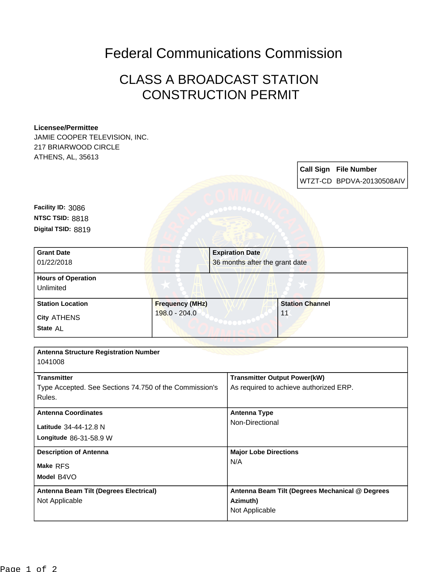## Federal Communications Commission

## CLASS A BROADCAST STATION CONSTRUCTION PERMIT

## **Licensee/Permittee**

JAMIE COOPER TELEVISION, INC. 217 BRIARWOOD CIRCLE ATHENS, AL, 35613

> **Call Sign File Number** WTZT-CD BPDVA-20130508AIV

**Digital TSID:** 8819 **NTSC TSID:** 8818 **Facility ID:** 3086

| <b>Station Channel</b><br>11 |
|------------------------------|
|                              |

| <b>Antenna Structure Registration Number</b>           |                                                 |  |
|--------------------------------------------------------|-------------------------------------------------|--|
| 1041008                                                |                                                 |  |
| <b>Transmitter</b>                                     | <b>Transmitter Output Power(kW)</b>             |  |
| Type Accepted. See Sections 74.750 of the Commission's | As required to achieve authorized ERP.          |  |
| Rules.                                                 |                                                 |  |
| <b>Antenna Coordinates</b>                             | <b>Antenna Type</b>                             |  |
| Latitude 34-44-12.8 N                                  | Non-Directional                                 |  |
| Longitude 86-31-58.9 W                                 |                                                 |  |
| <b>Description of Antenna</b>                          | <b>Major Lobe Directions</b>                    |  |
| Make RFS                                               | N/A                                             |  |
| Model B4VO                                             |                                                 |  |
| Antenna Beam Tilt (Degrees Electrical)                 | Antenna Beam Tilt (Degrees Mechanical @ Degrees |  |
| Not Applicable                                         | Azimuth)                                        |  |
|                                                        | Not Applicable                                  |  |